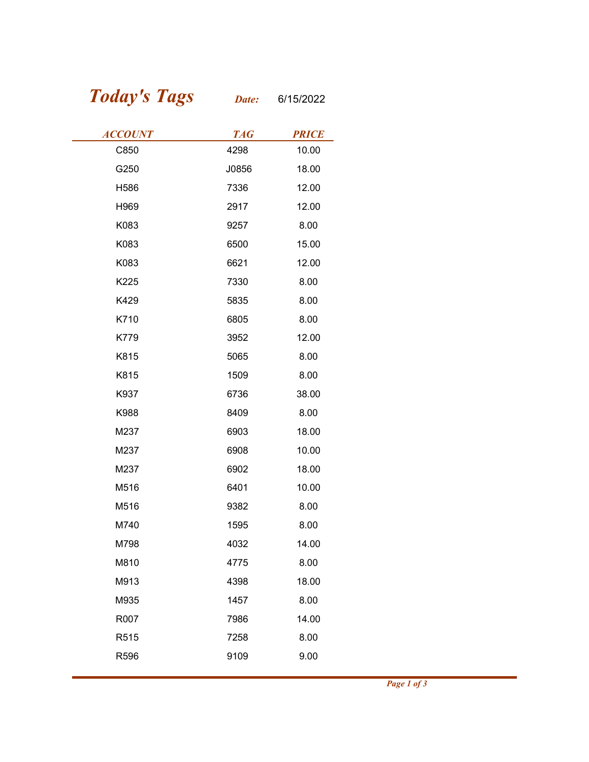## Today's Tags Date: 6/15/2022

| <b>Today's Tags</b> | Date:      | 6/15/2022    |
|---------------------|------------|--------------|
| <b>ACCOUNT</b>      | <b>TAG</b> | <b>PRICE</b> |
| C850                | 4298       | 10.00        |
| G250                | J0856      | 18.00        |
| H586                | 7336       | 12.00        |
| H969                | 2917       | 12.00        |
| K083                | 9257       | 8.00         |
| K083                | 6500       | 15.00        |
| K083                | 6621       | 12.00        |
| K225                | 7330       | 8.00         |
| K429                | 5835       | 8.00         |
| K710                | 6805       | 8.00         |
| K779                | 3952       | 12.00        |
| K815                | 5065       | 8.00         |
| K815                | 1509       | 8.00         |
| K937                | 6736       | 38.00        |
| K988                | 8409       | 8.00         |
| M237                | 6903       | 18.00        |
| M237                | 6908       | 10.00        |
| M237                | 6902       | 18.00        |
| M516                | 6401       | 10.00        |
| M516                | 9382       | 8.00         |
| M740                | 1595       | 8.00         |
| M798                | 4032       | 14.00        |
| M810                | 4775       | 8.00         |
| M913                | 4398       | 18.00        |
| M935                | 1457       | 8.00         |
| R007                | 7986       | 14.00        |
| R515                | 7258       | 8.00         |
| R596                | 9109       | 9.00         |
|                     |            |              |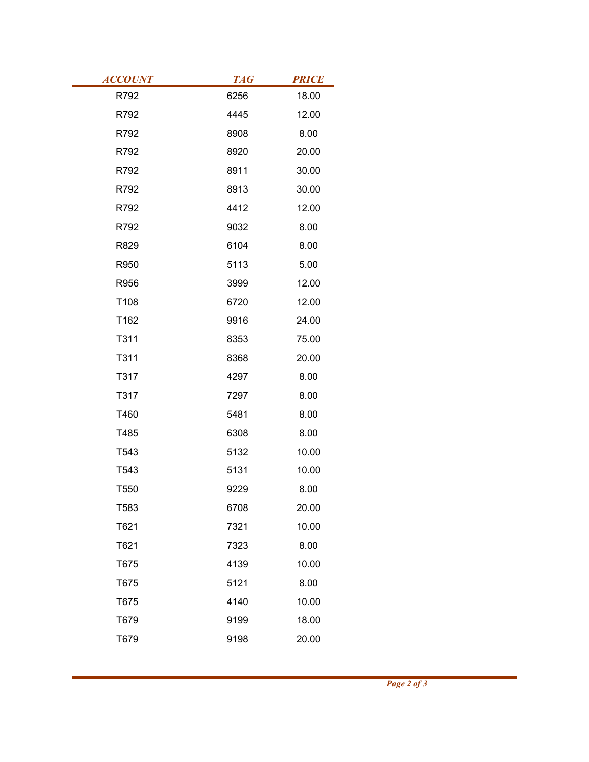| <b>ACCOUNT</b> | <b>TAG</b>   | <b>PRICE</b> |
|----------------|--------------|--------------|
| R792           | 6256         | 18.00        |
| R792           | 4445         | 12.00        |
| R792           | 8908         | 8.00         |
| R792           | 8920         | 20.00        |
| R792           | 8911         | 30.00        |
| R792           | 8913         | 30.00        |
| R792           | 4412         | 12.00        |
| R792           | 9032         | 8.00         |
| R829           | 6104         | 8.00         |
| R950           | 5113         | 5.00         |
| R956           | 3999         | 12.00        |
| T108           | 6720         | 12.00        |
| T162           | 9916         | 24.00        |
| T311           | 8353<br>8368 | 75.00        |
| T311           |              | 20.00        |
| T317<br>T317   | 4297<br>7297 | 8.00         |
| T460           | 5481         | 8.00<br>8.00 |
| T485           | 6308         | 8.00         |
| T543           | 5132         | 10.00        |
| T543           | 5131         | 10.00        |
| T550           | 9229         | 8.00         |
| T583           | 6708         | 20.00        |
| T621           | 7321         | 10.00        |
| T621           | 7323         | 8.00         |
| T675           | 4139         | 10.00        |
| T675           | 5121         | 8.00         |
| T675           | 4140         | 10.00        |
| T679           | 9199         | 18.00        |
|                | 9198         | 20.00        |